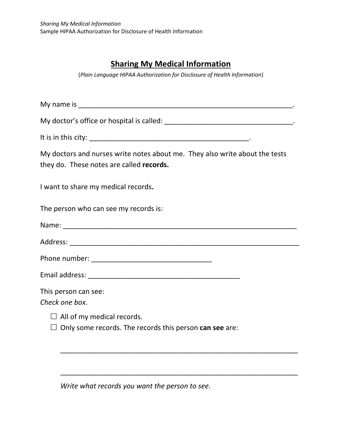## **Sharing My Medical Information**

(*Plain Language HIPAA Authorization for Disclosure of Health Information*)

My name is \_\_\_\_\_\_\_\_\_\_\_\_\_\_\_\_\_\_\_\_\_\_\_\_\_\_\_\_\_\_\_\_\_\_\_\_\_\_\_\_\_\_\_\_\_\_\_\_\_\_\_\_\_\_\_.

My doctor's office or hospital is called: \_\_\_\_\_\_\_\_\_\_\_\_\_\_\_\_\_\_\_\_\_\_\_\_\_\_\_\_\_\_\_\_\_.

It is in this city: \_\_\_\_\_\_\_\_\_\_\_\_\_\_\_\_\_\_\_\_\_\_\_\_\_\_\_\_\_\_\_\_\_\_\_\_\_\_\_\_\_.

My doctors and nurses write notes about me. They also write about the tests they do. These notes are called **records.**

I want to share my medical records**.** 

The person who can see my records is:

| Name: |  |  |  |
|-------|--|--|--|
|       |  |  |  |

\_\_\_\_\_\_\_\_\_\_\_\_\_\_\_\_\_\_\_\_\_\_\_\_\_\_\_\_\_\_\_\_\_\_\_\_\_\_\_\_\_\_\_\_\_\_\_\_\_\_\_\_\_\_\_\_\_\_\_\_\_

\_\_\_\_\_\_\_\_\_\_\_\_\_\_\_\_\_\_\_\_\_\_\_\_\_\_\_\_\_\_\_\_\_\_\_\_\_\_\_\_\_\_\_\_\_\_\_\_\_\_\_\_\_\_\_\_\_\_\_\_\_

Address: \_\_\_\_\_\_\_\_\_\_\_\_\_\_\_\_\_\_\_\_\_\_\_\_\_\_\_\_\_\_\_\_\_\_\_\_\_\_\_\_\_\_\_\_\_\_\_\_\_\_\_\_\_\_\_\_\_\_\_

Phone number: \_\_\_\_\_\_\_\_\_\_\_\_\_\_\_\_\_\_\_\_\_\_\_\_\_\_\_\_\_\_\_

Email address: \_\_\_\_\_\_\_\_\_\_\_\_\_\_\_\_\_\_\_\_\_\_\_\_\_\_\_\_\_\_\_\_\_\_\_\_\_\_\_

This person can see:

*Check one box*.

 $\Box$  All of my medical records.

 $\Box$  Only some records. The records this person **can see** are:

*Write what records you want the person to see*.